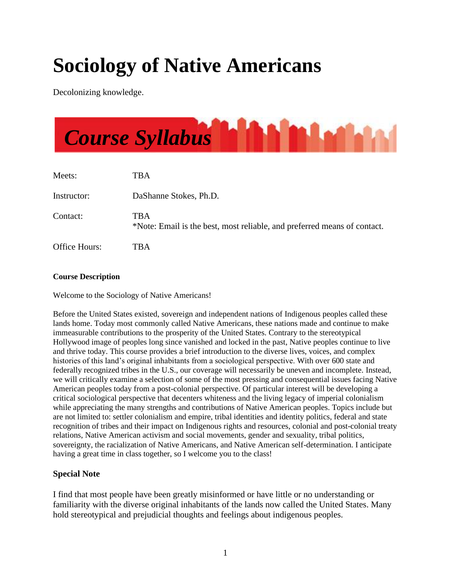# **Sociology of Native Americans**

Decolonizing knowledge.



#### **Course Description**

Welcome to the Sociology of Native Americans!

Before the United States existed, sovereign and independent nations of Indigenous peoples called these lands home. Today most commonly called Native Americans, these nations made and continue to make immeasurable contributions to the prosperity of the United States. Contrary to the stereotypical Hollywood image of peoples long since vanished and locked in the past, Native peoples continue to live and thrive today. This course provides a brief introduction to the diverse lives, voices, and complex histories of this land's original inhabitants from a sociological perspective. With over 600 state and federally recognized tribes in the U.S., our coverage will necessarily be uneven and incomplete. Instead, we will critically examine a selection of some of the most pressing and consequential issues facing Native American peoples today from a post-colonial perspective. Of particular interest will be developing a critical sociological perspective that decenters whiteness and the living legacy of imperial colonialism while appreciating the many strengths and contributions of Native American peoples. Topics include but are not limited to: settler colonialism and empire, tribal identities and identity politics, federal and state recognition of tribes and their impact on Indigenous rights and resources, colonial and post-colonial treaty relations, Native American activism and social movements, gender and sexuality, tribal politics, sovereignty, the racialization of Native Americans, and Native American self-determination. I anticipate having a great time in class together, so I welcome you to the class!

# **Special Note**

I find that most people have been greatly misinformed or have little or no understanding or familiarity with the diverse original inhabitants of the lands now called the United States. Many hold stereotypical and prejudicial thoughts and feelings about indigenous peoples.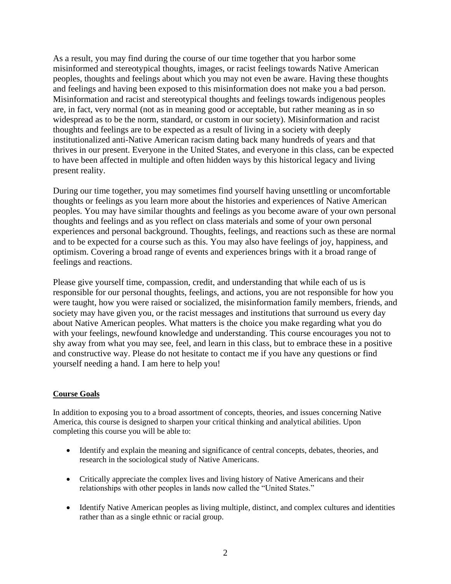As a result, you may find during the course of our time together that you harbor some misinformed and stereotypical thoughts, images, or racist feelings towards Native American peoples, thoughts and feelings about which you may not even be aware. Having these thoughts and feelings and having been exposed to this misinformation does not make you a bad person. Misinformation and racist and stereotypical thoughts and feelings towards indigenous peoples are, in fact, very normal (not as in meaning good or acceptable, but rather meaning as in so widespread as to be the norm, standard, or custom in our society). Misinformation and racist thoughts and feelings are to be expected as a result of living in a society with deeply institutionalized anti-Native American racism dating back many hundreds of years and that thrives in our present. Everyone in the United States, and everyone in this class, can be expected to have been affected in multiple and often hidden ways by this historical legacy and living present reality.

During our time together, you may sometimes find yourself having unsettling or uncomfortable thoughts or feelings as you learn more about the histories and experiences of Native American peoples. You may have similar thoughts and feelings as you become aware of your own personal thoughts and feelings and as you reflect on class materials and some of your own personal experiences and personal background. Thoughts, feelings, and reactions such as these are normal and to be expected for a course such as this. You may also have feelings of joy, happiness, and optimism. Covering a broad range of events and experiences brings with it a broad range of feelings and reactions.

Please give yourself time, compassion, credit, and understanding that while each of us is responsible for our personal thoughts, feelings, and actions, you are not responsible for how you were taught, how you were raised or socialized, the misinformation family members, friends, and society may have given you, or the racist messages and institutions that surround us every day about Native American peoples. What matters is the choice you make regarding what you do with your feelings, newfound knowledge and understanding. This course encourages you not to shy away from what you may see, feel, and learn in this class, but to embrace these in a positive and constructive way. Please do not hesitate to contact me if you have any questions or find yourself needing a hand. I am here to help you!

#### **Course Goals**

In addition to exposing you to a broad assortment of concepts, theories, and issues concerning Native America, this course is designed to sharpen your critical thinking and analytical abilities. Upon completing this course you will be able to:

- Identify and explain the meaning and significance of central concepts, debates, theories, and research in the sociological study of Native Americans.
- Critically appreciate the complex lives and living history of Native Americans and their relationships with other peoples in lands now called the "United States."
- Identify Native American peoples as living multiple, distinct, and complex cultures and identities rather than as a single ethnic or racial group.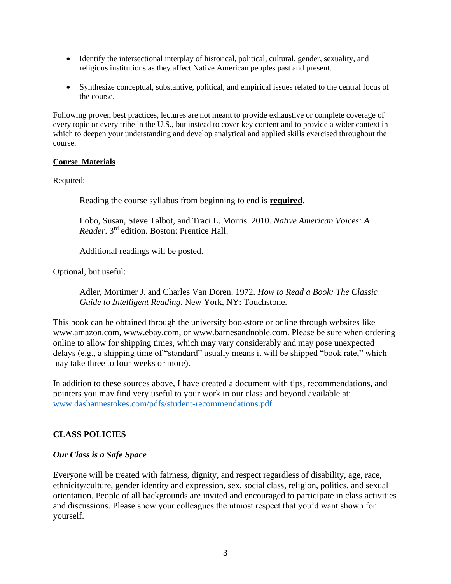- Identify the intersectional interplay of historical, political, cultural, gender, sexuality, and religious institutions as they affect Native American peoples past and present.
- Synthesize conceptual, substantive, political, and empirical issues related to the central focus of the course.

Following proven best practices, lectures are not meant to provide exhaustive or complete coverage of every topic or every tribe in the U.S., but instead to cover key content and to provide a wider context in which to deepen your understanding and develop analytical and applied skills exercised throughout the course.

#### **Course Materials**

Required:

Reading the course syllabus from beginning to end is **required**.

Lobo, Susan, Steve Talbot, and Traci L. Morris. 2010. *Native American Voices: A Reader*. 3rd edition. Boston: Prentice Hall.

Additional readings will be posted.

Optional, but useful:

Adler, Mortimer J. and Charles Van Doren. 1972. *How to Read a Book: The Classic Guide to Intelligent Reading*. New York, NY: Touchstone.

This book can be obtained through the university bookstore or online through websites like www.amazon.com, www.ebay.com, or www.barnesandnoble.com. Please be sure when ordering online to allow for shipping times, which may vary considerably and may pose unexpected delays (e.g., a shipping time of "standard" usually means it will be shipped "book rate," which may take three to four weeks or more).

In addition to these sources above, I have created a document with tips, recommendations, and pointers you may find very useful to your work in our class and beyond available at: [www.dashannestokes.com/pdfs/student-recommendations.pdf](http://www.dashannestokes.com/pdfs/student-recommendations.pdf)

# **CLASS POLICIES**

#### *Our Class is a Safe Space*

Everyone will be treated with fairness, dignity, and respect regardless of disability, age, race, ethnicity/culture, gender identity and expression, sex, social class, religion, politics, and sexual orientation. People of all backgrounds are invited and encouraged to participate in class activities and discussions. Please show your colleagues the utmost respect that you'd want shown for yourself.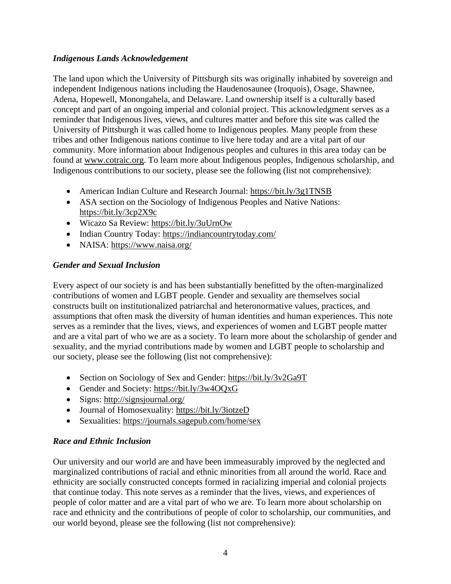# *Indigenous Lands Acknowledgement*

The land upon which the University of Pittsburgh sits was originally inhabited by sovereign and independent Indigenous nations including the Haudenosaunee (Iroquois), Osage, Shawnee, Adena, Hopewell, Monongahela, and Delaware. Land ownership itself is a culturally based concept and part of an ongoing imperial and colonial project. This acknowledgment serves as a reminder that Indigenous lives, views, and cultures matter and before this site was called the University of Pittsburgh it was called home to Indigenous peoples. Many people from these tribes and other Indigenous nations continue to live here today and are a vital part of our community. More information about Indigenous peoples and cultures in this area today can be found at [www.cotraic.org.](http://www.cotraic.org/) To learn more about Indigenous peoples, Indigenous scholarship, and Indigenous contributions to our society, please see the following (list not comprehensive):

- American Indian Culture and Research Journal:<https://bit.ly/3g1TNSB>
- ASA section on the Sociology of Indigenous Peoples and Native Nations: <https://bit.ly/3cp2X9c>
- Wicazo Sa Review:<https://bit.ly/3uUrnOw>
- Indian Country Today:<https://indiancountrytoday.com/>
- NAISA:<https://www.naisa.org/>

# *Gender and Sexual Inclusion*

Every aspect of our society is and has been substantially benefitted by the often-marginalized contributions of women and LGBT people. Gender and sexuality are themselves social constructs built on institutionalized patriarchal and heteronormative values, practices, and assumptions that often mask the diversity of human identities and human experiences. This note serves as a reminder that the lives, views, and experiences of women and LGBT people matter and are a vital part of who we are as a society. To learn more about the scholarship of gender and sexuality, and the myriad contributions made by women and LGBT people to scholarship and our society, please see the following (list not comprehensive):

- Section on Sociology of Sex and Gender:<https://bit.ly/3v2Ga9T>
- Gender and Society:<https://bit.ly/3w4OQxG>
- Signs:<http://signsjournal.org/>
- Journal of Homosexuality:<https://bit.ly/3iotzeD>
- Sexualities:<https://journals.sagepub.com/home/sex>

# *Race and Ethnic Inclusion*

Our university and our world are and have been immeasurably improved by the neglected and marginalized contributions of racial and ethnic minorities from all around the world. Race and ethnicity are socially constructed concepts formed in racializing imperial and colonial projects that continue today. This note serves as a reminder that the lives, views, and experiences of people of color matter and are a vital part of who we are. To learn more about scholarship on race and ethnicity and the contributions of people of color to scholarship, our communities, and our world beyond, please see the following (list not comprehensive):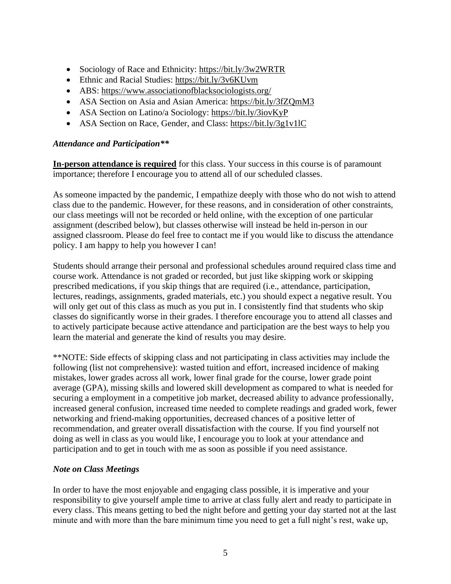- Sociology of Race and Ethnicity:<https://bit.ly/3w2WRTR>
- Ethnic and Racial Studies:<https://bit.ly/3v6KUvm>
- ABS:<https://www.associationofblacksociologists.org/>
- ASA Section on Asia and Asian America:<https://bit.ly/3fZQmM3>
- ASA Section on Latino/a Sociology:<https://bit.ly/3iovKyP>
- ASA Section on Race, Gender, and Class:<https://bit.ly/3g1v1lC>

#### *Attendance and Participation\*\**

**In-person attendance is required** for this class. Your success in this course is of paramount importance; therefore I encourage you to attend all of our scheduled classes.

As someone impacted by the pandemic, I empathize deeply with those who do not wish to attend class due to the pandemic. However, for these reasons, and in consideration of other constraints, our class meetings will not be recorded or held online, with the exception of one particular assignment (described below), but classes otherwise will instead be held in-person in our assigned classroom. Please do feel free to contact me if you would like to discuss the attendance policy. I am happy to help you however I can!

Students should arrange their personal and professional schedules around required class time and course work. Attendance is not graded or recorded, but just like skipping work or skipping prescribed medications, if you skip things that are required (i.e., attendance, participation, lectures, readings, assignments, graded materials, etc.) you should expect a negative result. You will only get out of this class as much as you put in. I consistently find that students who skip classes do significantly worse in their grades. I therefore encourage you to attend all classes and to actively participate because active attendance and participation are the best ways to help you learn the material and generate the kind of results you may desire.

\*\*NOTE: Side effects of skipping class and not participating in class activities may include the following (list not comprehensive): wasted tuition and effort, increased incidence of making mistakes, lower grades across all work, lower final grade for the course, lower grade point average (GPA), missing skills and lowered skill development as compared to what is needed for securing a employment in a competitive job market, decreased ability to advance professionally, increased general confusion, increased time needed to complete readings and graded work, fewer networking and friend-making opportunities, decreased chances of a positive letter of recommendation, and greater overall dissatisfaction with the course. If you find yourself not doing as well in class as you would like, I encourage you to look at your attendance and participation and to get in touch with me as soon as possible if you need assistance.

# *Note on Class Meetings*

In order to have the most enjoyable and engaging class possible, it is imperative and your responsibility to give yourself ample time to arrive at class fully alert and ready to participate in every class. This means getting to bed the night before and getting your day started not at the last minute and with more than the bare minimum time you need to get a full night's rest, wake up,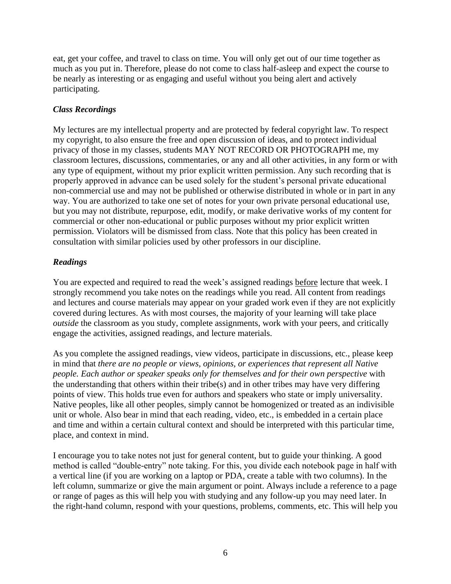eat, get your coffee, and travel to class on time. You will only get out of our time together as much as you put in. Therefore, please do not come to class half-asleep and expect the course to be nearly as interesting or as engaging and useful without you being alert and actively participating.

# *Class Recordings*

My lectures are my intellectual property and are protected by federal copyright law. To respect my copyright, to also ensure the free and open discussion of ideas, and to protect individual privacy of those in my classes, students MAY NOT RECORD OR PHOTOGRAPH me, my classroom lectures, discussions, commentaries, or any and all other activities, in any form or with any type of equipment, without my prior explicit written permission. Any such recording that is properly approved in advance can be used solely for the student's personal private educational non-commercial use and may not be published or otherwise distributed in whole or in part in any way. You are authorized to take one set of notes for your own private personal educational use, but you may not distribute, repurpose, edit, modify, or make derivative works of my content for commercial or other non-educational or public purposes without my prior explicit written permission. Violators will be dismissed from class. Note that this policy has been created in consultation with similar policies used by other professors in our discipline.

# *Readings*

You are expected and required to read the week's assigned readings before lecture that week. I strongly recommend you take notes on the readings while you read. All content from readings and lectures and course materials may appear on your graded work even if they are not explicitly covered during lectures. As with most courses, the majority of your learning will take place *outside* the classroom as you study, complete assignments, work with your peers, and critically engage the activities, assigned readings, and lecture materials.

As you complete the assigned readings, view videos, participate in discussions, etc., please keep in mind that *there are no people or views, opinions, or experiences that represent all Native people. Each author or speaker speaks only for themselves and for their own perspective* with the understanding that others within their tribe(s) and in other tribes may have very differing points of view. This holds true even for authors and speakers who state or imply universality. Native peoples, like all other peoples, simply cannot be homogenized or treated as an indivisible unit or whole. Also bear in mind that each reading, video, etc., is embedded in a certain place and time and within a certain cultural context and should be interpreted with this particular time, place, and context in mind.

I encourage you to take notes not just for general content, but to guide your thinking. A good method is called "double-entry" note taking. For this, you divide each notebook page in half with a vertical line (if you are working on a laptop or PDA, create a table with two columns). In the left column, summarize or give the main argument or point. Always include a reference to a page or range of pages as this will help you with studying and any follow-up you may need later. In the right-hand column, respond with your questions, problems, comments, etc. This will help you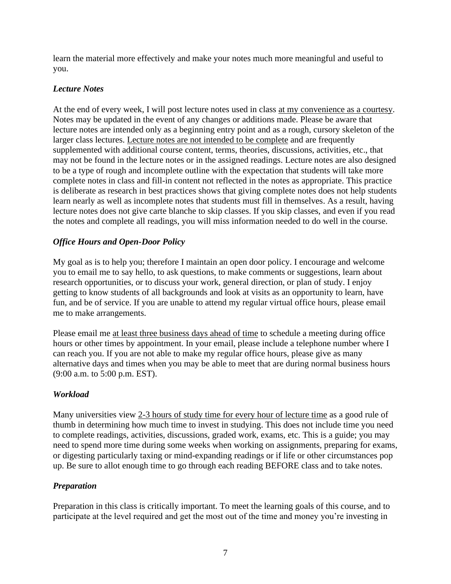learn the material more effectively and make your notes much more meaningful and useful to you.

# *Lecture Notes*

At the end of every week, I will post lecture notes used in class at my convenience as a courtesy. Notes may be updated in the event of any changes or additions made. Please be aware that lecture notes are intended only as a beginning entry point and as a rough, cursory skeleton of the larger class lectures. Lecture notes are not intended to be complete and are frequently supplemented with additional course content, terms, theories, discussions, activities, etc., that may not be found in the lecture notes or in the assigned readings. Lecture notes are also designed to be a type of rough and incomplete outline with the expectation that students will take more complete notes in class and fill-in content not reflected in the notes as appropriate. This practice is deliberate as research in best practices shows that giving complete notes does not help students learn nearly as well as incomplete notes that students must fill in themselves. As a result, having lecture notes does not give carte blanche to skip classes. If you skip classes, and even if you read the notes and complete all readings, you will miss information needed to do well in the course.

# *Office Hours and Open-Door Policy*

My goal as is to help you; therefore I maintain an open door policy. I encourage and welcome you to email me to say hello, to ask questions, to make comments or suggestions, learn about research opportunities, or to discuss your work, general direction, or plan of study. I enjoy getting to know students of all backgrounds and look at visits as an opportunity to learn, have fun, and be of service. If you are unable to attend my regular virtual office hours, please email me to make arrangements.

Please email me at least three business days ahead of time to schedule a meeting during office hours or other times by appointment. In your email, please include a telephone number where I can reach you. If you are not able to make my regular office hours, please give as many alternative days and times when you may be able to meet that are during normal business hours (9:00 a.m. to 5:00 p.m. EST).

# *Workload*

Many universities view 2-3 hours of study time for every hour of lecture time as a good rule of thumb in determining how much time to invest in studying. This does not include time you need to complete readings, activities, discussions, graded work, exams, etc. This is a guide; you may need to spend more time during some weeks when working on assignments, preparing for exams, or digesting particularly taxing or mind-expanding readings or if life or other circumstances pop up. Be sure to allot enough time to go through each reading BEFORE class and to take notes.

# *Preparation*

Preparation in this class is critically important. To meet the learning goals of this course, and to participate at the level required and get the most out of the time and money you're investing in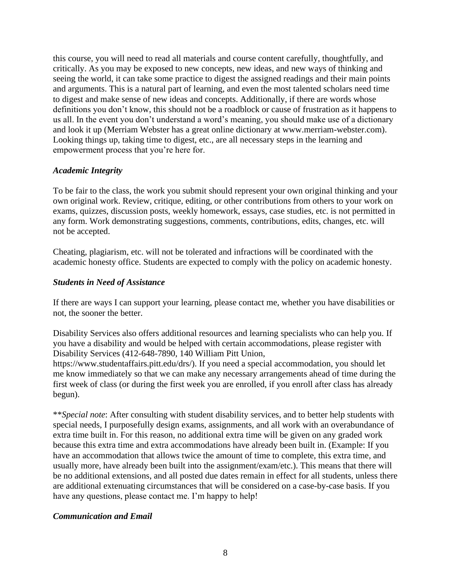this course, you will need to read all materials and course content carefully, thoughtfully, and critically. As you may be exposed to new concepts, new ideas, and new ways of thinking and seeing the world, it can take some practice to digest the assigned readings and their main points and arguments. This is a natural part of learning, and even the most talented scholars need time to digest and make sense of new ideas and concepts. Additionally, if there are words whose definitions you don't know, this should not be a roadblock or cause of frustration as it happens to us all. In the event you don't understand a word's meaning, you should make use of a dictionary and look it up (Merriam Webster has a great online dictionary at www.merriam-webster.com). Looking things up, taking time to digest, etc., are all necessary steps in the learning and empowerment process that you're here for.

#### *Academic Integrity*

To be fair to the class, the work you submit should represent your own original thinking and your own original work. Review, critique, editing, or other contributions from others to your work on exams, quizzes, discussion posts, weekly homework, essays, case studies, etc. is not permitted in any form. Work demonstrating suggestions, comments, contributions, edits, changes, etc. will not be accepted.

Cheating, plagiarism, etc. will not be tolerated and infractions will be coordinated with the academic honesty office. Students are expected to comply with the policy on academic honesty.

#### *Students in Need of Assistance*

If there are ways I can support your learning, please contact me, whether you have disabilities or not, the sooner the better.

Disability Services also offers additional resources and learning specialists who can help you. If you have a disability and would be helped with certain accommodations, please register with Disability Services (412-648-7890, 140 William Pitt Union,

https://www.studentaffairs.pitt.edu/drs/). If you need a special accommodation, you should let me know immediately so that we can make any necessary arrangements ahead of time during the first week of class (or during the first week you are enrolled, if you enroll after class has already begun).

\*\**Special note*: After consulting with student disability services, and to better help students with special needs, I purposefully design exams, assignments, and all work with an overabundance of extra time built in. For this reason, no additional extra time will be given on any graded work because this extra time and extra accommodations have already been built in. (Example: If you have an accommodation that allows twice the amount of time to complete, this extra time, and usually more, have already been built into the assignment/exam/etc.). This means that there will be no additional extensions, and all posted due dates remain in effect for all students, unless there are additional extenuating circumstances that will be considered on a case-by-case basis. If you have any questions, please contact me. I'm happy to help!

#### *Communication and Email*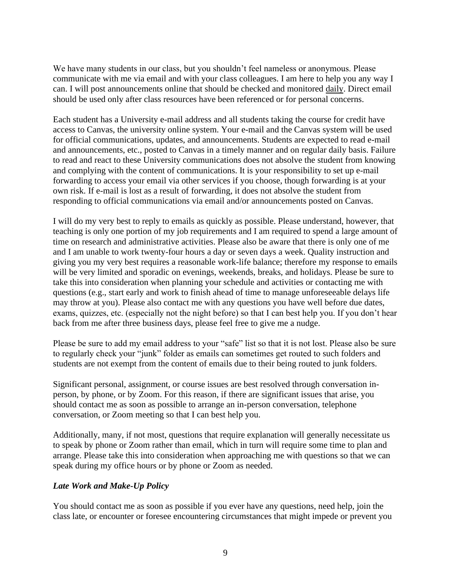We have many students in our class, but you shouldn't feel nameless or anonymous. Please communicate with me via email and with your class colleagues. I am here to help you any way I can. I will post announcements online that should be checked and monitored daily. Direct email should be used only after class resources have been referenced or for personal concerns.

Each student has a University e-mail address and all students taking the course for credit have access to Canvas, the university online system. Your e-mail and the Canvas system will be used for official communications, updates, and announcements. Students are expected to read e-mail and announcements, etc., posted to Canvas in a timely manner and on regular daily basis. Failure to read and react to these University communications does not absolve the student from knowing and complying with the content of communications. It is your responsibility to set up e-mail forwarding to access your email via other services if you choose, though forwarding is at your own risk. If e-mail is lost as a result of forwarding, it does not absolve the student from responding to official communications via email and/or announcements posted on Canvas.

I will do my very best to reply to emails as quickly as possible. Please understand, however, that teaching is only one portion of my job requirements and I am required to spend a large amount of time on research and administrative activities. Please also be aware that there is only one of me and I am unable to work twenty-four hours a day or seven days a week. Quality instruction and giving you my very best requires a reasonable work-life balance; therefore my response to emails will be very limited and sporadic on evenings, weekends, breaks, and holidays. Please be sure to take this into consideration when planning your schedule and activities or contacting me with questions (e.g., start early and work to finish ahead of time to manage unforeseeable delays life may throw at you). Please also contact me with any questions you have well before due dates, exams, quizzes, etc. (especially not the night before) so that I can best help you. If you don't hear back from me after three business days, please feel free to give me a nudge.

Please be sure to add my email address to your "safe" list so that it is not lost. Please also be sure to regularly check your "junk" folder as emails can sometimes get routed to such folders and students are not exempt from the content of emails due to their being routed to junk folders.

Significant personal, assignment, or course issues are best resolved through conversation inperson, by phone, or by Zoom. For this reason, if there are significant issues that arise, you should contact me as soon as possible to arrange an in-person conversation, telephone conversation, or Zoom meeting so that I can best help you.

Additionally, many, if not most, questions that require explanation will generally necessitate us to speak by phone or Zoom rather than email, which in turn will require some time to plan and arrange. Please take this into consideration when approaching me with questions so that we can speak during my office hours or by phone or Zoom as needed.

# *Late Work and Make-Up Policy*

You should contact me as soon as possible if you ever have any questions, need help, join the class late, or encounter or foresee encountering circumstances that might impede or prevent you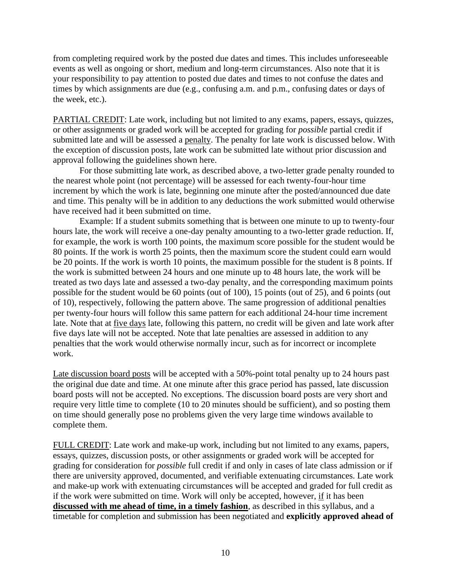from completing required work by the posted due dates and times. This includes unforeseeable events as well as ongoing or short, medium and long-term circumstances. Also note that it is your responsibility to pay attention to posted due dates and times to not confuse the dates and times by which assignments are due (e.g., confusing a.m. and p.m., confusing dates or days of the week, etc.).

PARTIAL CREDIT: Late work, including but not limited to any exams, papers, essays, quizzes, or other assignments or graded work will be accepted for grading for *possible* partial credit if submitted late and will be assessed a penalty. The penalty for late work is discussed below. With the exception of discussion posts, late work can be submitted late without prior discussion and approval following the guidelines shown here.

For those submitting late work, as described above, a two-letter grade penalty rounded to the nearest whole point (not percentage) will be assessed for each twenty-four-hour time increment by which the work is late, beginning one minute after the posted/announced due date and time. This penalty will be in addition to any deductions the work submitted would otherwise have received had it been submitted on time.

Example: If a student submits something that is between one minute to up to twenty-four hours late, the work will receive a one-day penalty amounting to a two-letter grade reduction. If, for example, the work is worth 100 points, the maximum score possible for the student would be 80 points. If the work is worth 25 points, then the maximum score the student could earn would be 20 points. If the work is worth 10 points, the maximum possible for the student is 8 points. If the work is submitted between 24 hours and one minute up to 48 hours late, the work will be treated as two days late and assessed a two-day penalty, and the corresponding maximum points possible for the student would be 60 points (out of 100), 15 points (out of 25), and 6 points (out of 10), respectively, following the pattern above. The same progression of additional penalties per twenty-four hours will follow this same pattern for each additional 24-hour time increment late. Note that at five days late, following this pattern, no credit will be given and late work after five days late will not be accepted. Note that late penalties are assessed in addition to any penalties that the work would otherwise normally incur, such as for incorrect or incomplete work.

Late discussion board posts will be accepted with a 50%-point total penalty up to 24 hours past the original due date and time. At one minute after this grace period has passed, late discussion board posts will not be accepted. No exceptions. The discussion board posts are very short and require very little time to complete (10 to 20 minutes should be sufficient), and so posting them on time should generally pose no problems given the very large time windows available to complete them.

FULL CREDIT: Late work and make-up work, including but not limited to any exams, papers, essays, quizzes, discussion posts, or other assignments or graded work will be accepted for grading for consideration for *possible* full credit if and only in cases of late class admission or if there are university approved, documented, and verifiable extenuating circumstances. Late work and make-up work with extenuating circumstances will be accepted and graded for full credit as if the work were submitted on time. Work will only be accepted, however, if it has been **discussed with me ahead of time, in a timely fashion**, as described in this syllabus, and a timetable for completion and submission has been negotiated and **explicitly approved ahead of**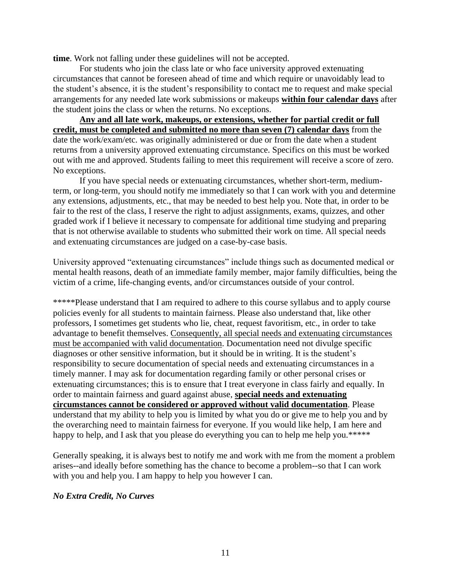**time**. Work not falling under these guidelines will not be accepted.

For students who join the class late or who face university approved extenuating circumstances that cannot be foreseen ahead of time and which require or unavoidably lead to the student's absence, it is the student's responsibility to contact me to request and make special arrangements for any needed late work submissions or makeups **within four calendar days** after the student joins the class or when the returns. No exceptions.

**Any and all late work, makeups, or extensions, whether for partial credit or full credit, must be completed and submitted no more than seven (7) calendar days** from the date the work/exam/etc. was originally administered or due or from the date when a student returns from a university approved extenuating circumstance. Specifics on this must be worked out with me and approved. Students failing to meet this requirement will receive a score of zero. No exceptions.

If you have special needs or extenuating circumstances, whether short-term, mediumterm, or long-term, you should notify me immediately so that I can work with you and determine any extensions, adjustments, etc., that may be needed to best help you. Note that, in order to be fair to the rest of the class, I reserve the right to adjust assignments, exams, quizzes, and other graded work if I believe it necessary to compensate for additional time studying and preparing that is not otherwise available to students who submitted their work on time. All special needs and extenuating circumstances are judged on a case-by-case basis.

University approved "extenuating circumstances" include things such as documented medical or mental health reasons, death of an immediate family member, major family difficulties, being the victim of a crime, life-changing events, and/or circumstances outside of your control.

\*\*\*\*\*Please understand that I am required to adhere to this course syllabus and to apply course policies evenly for all students to maintain fairness. Please also understand that, like other professors, I sometimes get students who lie, cheat, request favoritism, etc., in order to take advantage to benefit themselves. Consequently, all special needs and extenuating circumstances must be accompanied with valid documentation. Documentation need not divulge specific diagnoses or other sensitive information, but it should be in writing. It is the student's responsibility to secure documentation of special needs and extenuating circumstances in a timely manner. I may ask for documentation regarding family or other personal crises or extenuating circumstances; this is to ensure that I treat everyone in class fairly and equally. In order to maintain fairness and guard against abuse, **special needs and extenuating circumstances cannot be considered or approved without valid documentation**. Please understand that my ability to help you is limited by what you do or give me to help you and by the overarching need to maintain fairness for everyone. If you would like help, I am here and happy to help, and I ask that you please do everything you can to help me help you.\*\*\*\*\*

Generally speaking, it is always best to notify me and work with me from the moment a problem arises--and ideally before something has the chance to become a problem--so that I can work with you and help you. I am happy to help you however I can.

#### *No Extra Credit, No Curves*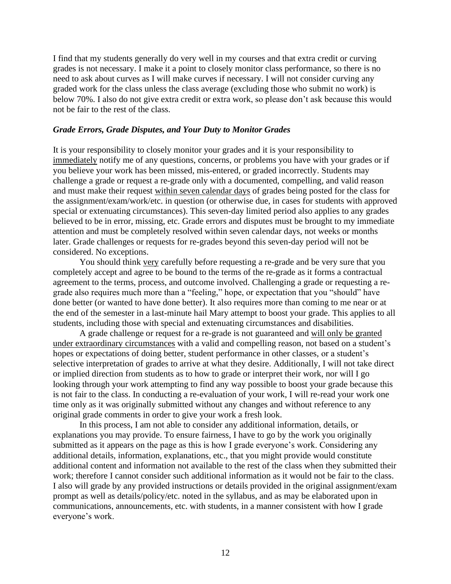I find that my students generally do very well in my courses and that extra credit or curving grades is not necessary. I make it a point to closely monitor class performance, so there is no need to ask about curves as I will make curves if necessary. I will not consider curving any graded work for the class unless the class average (excluding those who submit no work) is below 70%. I also do not give extra credit or extra work, so please don't ask because this would not be fair to the rest of the class.

#### *Grade Errors, Grade Disputes, and Your Duty to Monitor Grades*

It is your responsibility to closely monitor your grades and it is your responsibility to immediately notify me of any questions, concerns, or problems you have with your grades or if you believe your work has been missed, mis-entered, or graded incorrectly. Students may challenge a grade or request a re-grade only with a documented, compelling, and valid reason and must make their request within seven calendar days of grades being posted for the class for the assignment/exam/work/etc. in question (or otherwise due, in cases for students with approved special or extenuating circumstances). This seven-day limited period also applies to any grades believed to be in error, missing, etc. Grade errors and disputes must be brought to my immediate attention and must be completely resolved within seven calendar days, not weeks or months later. Grade challenges or requests for re-grades beyond this seven-day period will not be considered. No exceptions.

You should think very carefully before requesting a re-grade and be very sure that you completely accept and agree to be bound to the terms of the re-grade as it forms a contractual agreement to the terms, process, and outcome involved. Challenging a grade or requesting a regrade also requires much more than a "feeling," hope, or expectation that you "should" have done better (or wanted to have done better). It also requires more than coming to me near or at the end of the semester in a last-minute hail Mary attempt to boost your grade. This applies to all students, including those with special and extenuating circumstances and disabilities.

A grade challenge or request for a re-grade is not guaranteed and will only be granted under extraordinary circumstances with a valid and compelling reason, not based on a student's hopes or expectations of doing better, student performance in other classes, or a student's selective interpretation of grades to arrive at what they desire. Additionally, I will not take direct or implied direction from students as to how to grade or interpret their work, nor will I go looking through your work attempting to find any way possible to boost your grade because this is not fair to the class. In conducting a re-evaluation of your work, I will re-read your work one time only as it was originally submitted without any changes and without reference to any original grade comments in order to give your work a fresh look.

In this process, I am not able to consider any additional information, details, or explanations you may provide. To ensure fairness, I have to go by the work you originally submitted as it appears on the page as this is how I grade everyone's work. Considering any additional details, information, explanations, etc., that you might provide would constitute additional content and information not available to the rest of the class when they submitted their work; therefore I cannot consider such additional information as it would not be fair to the class. I also will grade by any provided instructions or details provided in the original assignment/exam prompt as well as details/policy/etc. noted in the syllabus, and as may be elaborated upon in communications, announcements, etc. with students, in a manner consistent with how I grade everyone's work.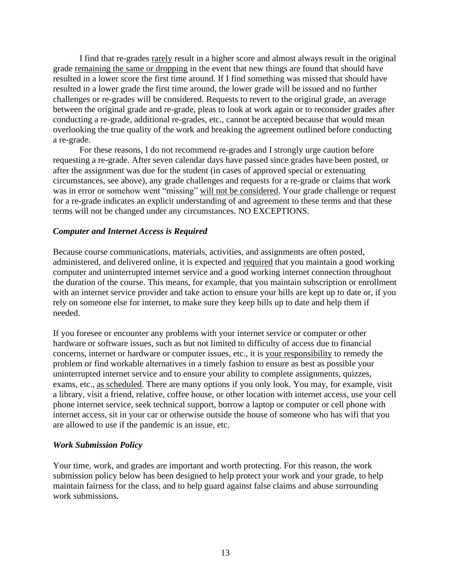I find that re-grades rarely result in a higher score and almost always result in the original grade remaining the same or dropping in the event that new things are found that should have resulted in a lower score the first time around. If I find something was missed that should have resulted in a lower grade the first time around, the lower grade will be issued and no further challenges or re-grades will be considered. Requests to revert to the original grade, an average between the original grade and re-grade, pleas to look at work again or to reconsider grades after conducting a re-grade, additional re-grades, etc., cannot be accepted because that would mean overlooking the true quality of the work and breaking the agreement outlined before conducting a re-grade.

For these reasons, I do not recommend re-grades and I strongly urge caution before requesting a re-grade. After seven calendar days have passed since grades have been posted, or after the assignment was due for the student (in cases of approved special or extenuating circumstances, see above), any grade challenges and requests for a re-grade or claims that work was in error or somehow went "missing" will not be considered. Your grade challenge or request for a re-grade indicates an explicit understanding of and agreement to these terms and that these terms will not be changed under any circumstances. NO EXCEPTIONS.

#### *Computer and Internet Access is Required*

Because course communications, materials, activities, and assignments are often posted, administered, and delivered online, it is expected and required that you maintain a good working computer and uninterrupted internet service and a good working internet connection throughout the duration of the course. This means, for example, that you maintain subscription or enrollment with an internet service provider and take action to ensure your bills are kept up to date or, if you rely on someone else for internet, to make sure they keep bills up to date and help them if needed.

If you foresee or encounter any problems with your internet service or computer or other hardware or software issues, such as but not limited to difficulty of access due to financial concerns, internet or hardware or computer issues, etc., it is your responsibility to remedy the problem or find workable alternatives in a timely fashion to ensure as best as possible your uninterrupted internet service and to ensure your ability to complete assignments, quizzes, exams, etc., as scheduled. There are many options if you only look. You may, for example, visit a library, visit a friend, relative, coffee house, or other location with internet access, use your cell phone internet service, seek technical support, borrow a laptop or computer or cell phone with internet access, sit in your car or otherwise outside the house of someone who has wifi that you are allowed to use if the pandemic is an issue, etc.

#### *Work Submission Policy*

Your time, work, and grades are important and worth protecting. For this reason, the work submission policy below has been designed to help protect your work and your grade, to help maintain fairness for the class, and to help guard against false claims and abuse surrounding work submissions.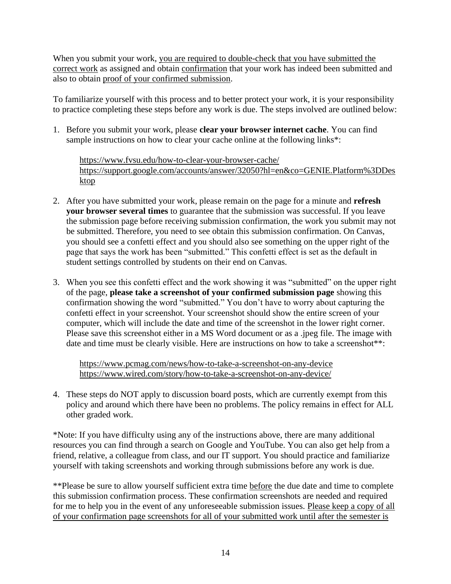When you submit your work, you are required to double-check that you have submitted the correct work as assigned and obtain confirmation that your work has indeed been submitted and also to obtain proof of your confirmed submission.

To familiarize yourself with this process and to better protect your work, it is your responsibility to practice completing these steps before any work is due. The steps involved are outlined below:

1. Before you submit your work, please **clear your browser internet cache**. You can find sample instructions on how to clear your cache online at the following links\*:

<https://www.fvsu.edu/how-to-clear-your-browser-cache/> [https://support.google.com/accounts/answer/32050?hl=en&co=GENIE.Platform%3DDes](https://support.google.com/accounts/answer/32050?hl=en&co=GENIE.Platform%3DDesktop) [ktop](https://support.google.com/accounts/answer/32050?hl=en&co=GENIE.Platform%3DDesktop)

- 2. After you have submitted your work, please remain on the page for a minute and **refresh your browser several times** to guarantee that the submission was successful. If you leave the submission page before receiving submission confirmation, the work you submit may not be submitted. Therefore, you need to see obtain this submission confirmation. On Canvas, you should see a confetti effect and you should also see something on the upper right of the page that says the work has been "submitted." This confetti effect is set as the default in student settings controlled by students on their end on Canvas.
- 3. When you see this confetti effect and the work showing it was "submitted" on the upper right of the page, **please take a screenshot of your confirmed submission page** showing this confirmation showing the word "submitted." You don't have to worry about capturing the confetti effect in your screenshot. Your screenshot should show the entire screen of your computer, which will include the date and time of the screenshot in the lower right corner. Please save this screenshot either in a MS Word document or as a .jpeg file. The image with date and time must be clearly visible. Here are instructions on how to take a screenshot\*\*:

<https://www.pcmag.com/news/how-to-take-a-screenshot-on-any-device> <https://www.wired.com/story/how-to-take-a-screenshot-on-any-device/>

4. These steps do NOT apply to discussion board posts, which are currently exempt from this policy and around which there have been no problems. The policy remains in effect for ALL other graded work.

\*Note: If you have difficulty using any of the instructions above, there are many additional resources you can find through a search on Google and YouTube. You can also get help from a friend, relative, a colleague from class, and our IT support. You should practice and familiarize yourself with taking screenshots and working through submissions before any work is due.

\*\*Please be sure to allow yourself sufficient extra time before the due date and time to complete this submission confirmation process. These confirmation screenshots are needed and required for me to help you in the event of any unforeseeable submission issues. Please keep a copy of all of your confirmation page screenshots for all of your submitted work until after the semester is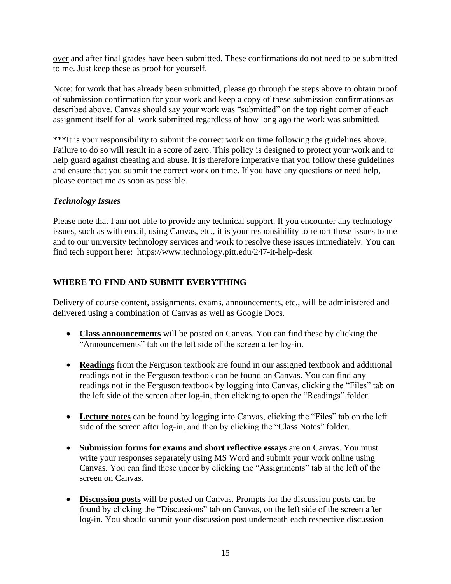over and after final grades have been submitted. These confirmations do not need to be submitted to me. Just keep these as proof for yourself.

Note: for work that has already been submitted, please go through the steps above to obtain proof of submission confirmation for your work and keep a copy of these submission confirmations as described above. Canvas should say your work was "submitted" on the top right corner of each assignment itself for all work submitted regardless of how long ago the work was submitted.

\*\*\*It is your responsibility to submit the correct work on time following the guidelines above. Failure to do so will result in a score of zero. This policy is designed to protect your work and to help guard against cheating and abuse. It is therefore imperative that you follow these guidelines and ensure that you submit the correct work on time. If you have any questions or need help, please contact me as soon as possible.

# *Technology Issues*

Please note that I am not able to provide any technical support. If you encounter any technology issues, such as with email, using Canvas, etc., it is your responsibility to report these issues to me and to our university technology services and work to resolve these issues immediately. You can find tech support here: https://www.technology.pitt.edu/247-it-help-desk

# **WHERE TO FIND AND SUBMIT EVERYTHING**

Delivery of course content, assignments, exams, announcements, etc., will be administered and delivered using a combination of Canvas as well as Google Docs.

- **Class announcements** will be posted on Canvas. You can find these by clicking the "Announcements" tab on the left side of the screen after log-in.
- **Readings** from the Ferguson textbook are found in our assigned textbook and additional readings not in the Ferguson textbook can be found on Canvas. You can find any readings not in the Ferguson textbook by logging into Canvas, clicking the "Files" tab on the left side of the screen after log-in, then clicking to open the "Readings" folder.
- **Lecture notes** can be found by logging into Canvas, clicking the "Files" tab on the left side of the screen after log-in, and then by clicking the "Class Notes" folder.
- **Submission forms for exams and short reflective essays** are on Canvas. You must write your responses separately using MS Word and submit your work online using Canvas. You can find these under by clicking the "Assignments" tab at the left of the screen on Canvas.
- **Discussion posts** will be posted on Canvas. Prompts for the discussion posts can be found by clicking the "Discussions" tab on Canvas, on the left side of the screen after log-in. You should submit your discussion post underneath each respective discussion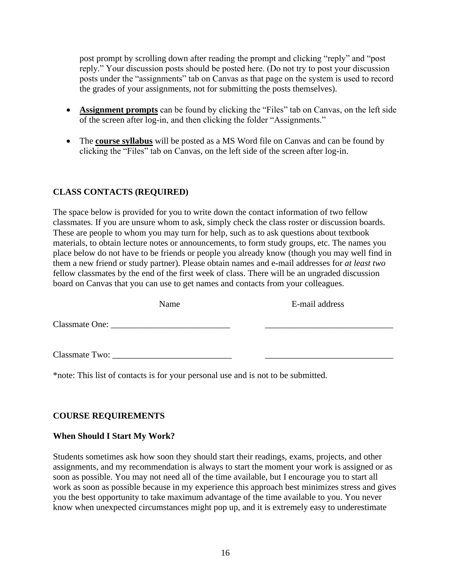post prompt by scrolling down after reading the prompt and clicking "reply" and "post reply." Your discussion posts should be posted here. (Do not try to post your discussion posts under the "assignments" tab on Canvas as that page on the system is used to record the grades of your assignments, not for submitting the posts themselves).

- **Assignment prompts** can be found by clicking the "Files" tab on Canvas, on the left side of the screen after log-in, and then clicking the folder "Assignments."
- The **course syllabus** will be posted as a MS Word file on Canvas and can be found by clicking the "Files" tab on Canvas, on the left side of the screen after log-in.

# **CLASS CONTACTS (REQUIRED)**

The space below is provided for you to write down the contact information of two fellow classmates. If you are unsure whom to ask, simply check the class roster or discussion boards. These are people to whom you may turn for help, such as to ask questions about textbook materials, to obtain lecture notes or announcements, to form study groups, etc. The names you place below do not have to be friends or people you already know (though you may well find in them a new friend or study partner). Please obtain names and e-mail addresses for *at least two* fellow classmates by the end of the first week of class. There will be an ungraded discussion board on Canvas that you can use to get names and contacts from your colleagues.

|                       | Name                                                                                                            | E-mail address |
|-----------------------|-----------------------------------------------------------------------------------------------------------------|----------------|
| <b>Classmate One:</b> | the contract of the contract of the contract of the contract of the contract of the contract of the contract of |                |
| Classmate Two:        |                                                                                                                 |                |

\*note: This list of contacts is for your personal use and is not to be submitted.

# **COURSE REQUIREMENTS**

# **When Should I Start My Work?**

Students sometimes ask how soon they should start their readings, exams, projects, and other assignments, and my recommendation is always to start the moment your work is assigned or as soon as possible. You may not need all of the time available, but I encourage you to start all work as soon as possible because in my experience this approach best minimizes stress and gives you the best opportunity to take maximum advantage of the time available to you. You never know when unexpected circumstances might pop up, and it is extremely easy to underestimate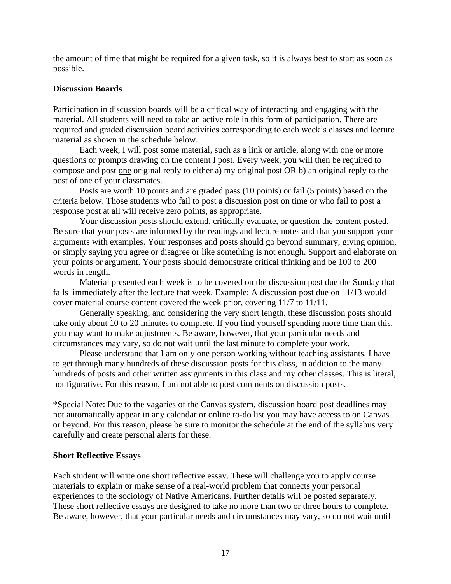the amount of time that might be required for a given task, so it is always best to start as soon as possible.

#### **Discussion Boards**

Participation in discussion boards will be a critical way of interacting and engaging with the material. All students will need to take an active role in this form of participation. There are required and graded discussion board activities corresponding to each week's classes and lecture material as shown in the schedule below.

Each week, I will post some material, such as a link or article, along with one or more questions or prompts drawing on the content I post. Every week, you will then be required to compose and post one original reply to either a) my original post OR b) an original reply to the post of one of your classmates.

Posts are worth 10 points and are graded pass (10 points) or fail (5 points) based on the criteria below. Those students who fail to post a discussion post on time or who fail to post a response post at all will receive zero points, as appropriate.

Your discussion posts should extend, critically evaluate, or question the content posted. Be sure that your posts are informed by the readings and lecture notes and that you support your arguments with examples. Your responses and posts should go beyond summary, giving opinion, or simply saying you agree or disagree or like something is not enough. Support and elaborate on your points or argument. Your posts should demonstrate critical thinking and be 100 to 200 words in length.

Material presented each week is to be covered on the discussion post due the Sunday that falls immediately after the lecture that week. Example: A discussion post due on 11/13 would cover material course content covered the week prior, covering 11/7 to 11/11.

Generally speaking, and considering the very short length, these discussion posts should take only about 10 to 20 minutes to complete. If you find yourself spending more time than this, you may want to make adjustments. Be aware, however, that your particular needs and circumstances may vary, so do not wait until the last minute to complete your work.

Please understand that I am only one person working without teaching assistants. I have to get through many hundreds of these discussion posts for this class, in addition to the many hundreds of posts and other written assignments in this class and my other classes. This is literal, not figurative. For this reason, I am not able to post comments on discussion posts.

\*Special Note: Due to the vagaries of the Canvas system, discussion board post deadlines may not automatically appear in any calendar or online to-do list you may have access to on Canvas or beyond. For this reason, please be sure to monitor the schedule at the end of the syllabus very carefully and create personal alerts for these.

#### **Short Reflective Essays**

Each student will write one short reflective essay. These will challenge you to apply course materials to explain or make sense of a real-world problem that connects your personal experiences to the sociology of Native Americans. Further details will be posted separately. These short reflective essays are designed to take no more than two or three hours to complete. Be aware, however, that your particular needs and circumstances may vary, so do not wait until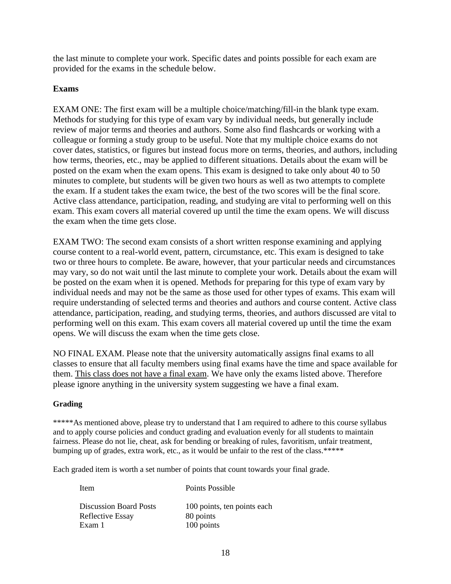the last minute to complete your work. Specific dates and points possible for each exam are provided for the exams in the schedule below.

#### **Exams**

EXAM ONE: The first exam will be a multiple choice/matching/fill-in the blank type exam. Methods for studying for this type of exam vary by individual needs, but generally include review of major terms and theories and authors. Some also find flashcards or working with a colleague or forming a study group to be useful. Note that my multiple choice exams do not cover dates, statistics, or figures but instead focus more on terms, theories, and authors, including how terms, theories, etc., may be applied to different situations. Details about the exam will be posted on the exam when the exam opens. This exam is designed to take only about 40 to 50 minutes to complete, but students will be given two hours as well as two attempts to complete the exam. If a student takes the exam twice, the best of the two scores will be the final score. Active class attendance, participation, reading, and studying are vital to performing well on this exam. This exam covers all material covered up until the time the exam opens. We will discuss the exam when the time gets close.

EXAM TWO: The second exam consists of a short written response examining and applying course content to a real-world event, pattern, circumstance, etc. This exam is designed to take two or three hours to complete. Be aware, however, that your particular needs and circumstances may vary, so do not wait until the last minute to complete your work. Details about the exam will be posted on the exam when it is opened. Methods for preparing for this type of exam vary by individual needs and may not be the same as those used for other types of exams. This exam will require understanding of selected terms and theories and authors and course content. Active class attendance, participation, reading, and studying terms, theories, and authors discussed are vital to performing well on this exam. This exam covers all material covered up until the time the exam opens. We will discuss the exam when the time gets close.

NO FINAL EXAM. Please note that the university automatically assigns final exams to all classes to ensure that all faculty members using final exams have the time and space available for them. This class does not have a final exam. We have only the exams listed above. Therefore please ignore anything in the university system suggesting we have a final exam.

#### **Grading**

\*\*\*\*\*As mentioned above, please try to understand that I am required to adhere to this course syllabus and to apply course policies and conduct grading and evaluation evenly for all students to maintain fairness. Please do not lie, cheat, ask for bending or breaking of rules, favoritism, unfair treatment, bumping up of grades, extra work, etc., as it would be unfair to the rest of the class.\*\*\*\*\*

Each graded item is worth a set number of points that count towards your final grade.

| Item                          | Points Possible             |
|-------------------------------|-----------------------------|
| <b>Discussion Board Posts</b> | 100 points, ten points each |
| Reflective Essay              | 80 points                   |
| Exam 1                        | 100 points                  |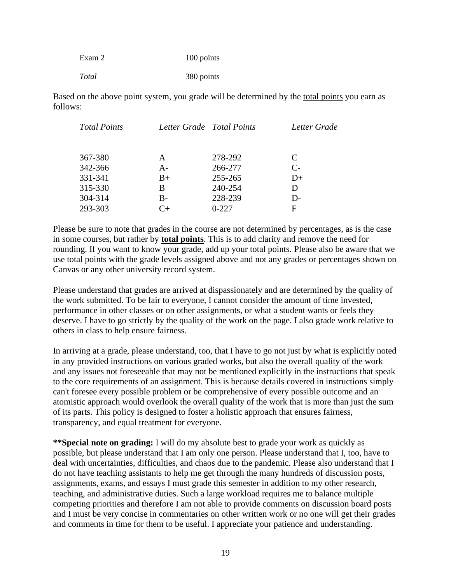| Exam 2 | 100 points |
|--------|------------|
| Total  | 380 points |

Based on the above point system, you grade will be determined by the total points you earn as follows:

| <b>Total Points</b> | Letter Grade Total Points |         | Letter Grade |
|---------------------|---------------------------|---------|--------------|
|                     |                           |         |              |
| 367-380             | A                         | 278-292 | C            |
| 342-366             | A-                        | 266-277 | $C_{\tau}$   |
| 331-341             | $B+$                      | 255-265 | $D+$         |
| 315-330             | B                         | 240-254 | D            |
| 304-314             | $B -$                     | 228-239 | $D -$        |
| 293-303             |                           | $0-227$ | F            |
|                     |                           |         |              |

Please be sure to note that grades in the course are not determined by percentages, as is the case in some courses, but rather by **total points**. This is to add clarity and remove the need for rounding. If you want to know your grade, add up your total points. Please also be aware that we use total points with the grade levels assigned above and not any grades or percentages shown on Canvas or any other university record system.

Please understand that grades are arrived at dispassionately and are determined by the quality of the work submitted. To be fair to everyone, I cannot consider the amount of time invested, performance in other classes or on other assignments, or what a student wants or feels they deserve. I have to go strictly by the quality of the work on the page. I also grade work relative to others in class to help ensure fairness.

In arriving at a grade, please understand, too, that I have to go not just by what is explicitly noted in any provided instructions on various graded works, but also the overall quality of the work and any issues not foreseeable that may not be mentioned explicitly in the instructions that speak to the core requirements of an assignment. This is because details covered in instructions simply can't foresee every possible problem or be comprehensive of every possible outcome and an atomistic approach would overlook the overall quality of the work that is more than just the sum of its parts. This policy is designed to foster a holistic approach that ensures fairness, transparency, and equal treatment for everyone.

**\*\*Special note on grading:** I will do my absolute best to grade your work as quickly as possible, but please understand that I am only one person. Please understand that I, too, have to deal with uncertainties, difficulties, and chaos due to the pandemic. Please also understand that I do not have teaching assistants to help me get through the many hundreds of discussion posts, assignments, exams, and essays I must grade this semester in addition to my other research, teaching, and administrative duties. Such a large workload requires me to balance multiple competing priorities and therefore I am not able to provide comments on discussion board posts and I must be very concise in commentaries on other written work or no one will get their grades and comments in time for them to be useful. I appreciate your patience and understanding.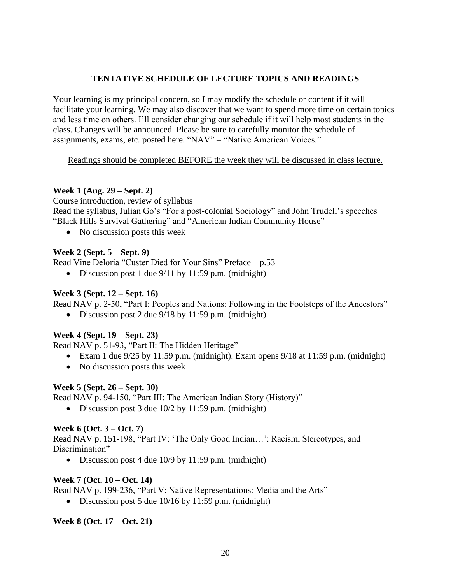# **TENTATIVE SCHEDULE OF LECTURE TOPICS AND READINGS**

Your learning is my principal concern, so I may modify the schedule or content if it will facilitate your learning. We may also discover that we want to spend more time on certain topics and less time on others. I'll consider changing our schedule if it will help most students in the class. Changes will be announced. Please be sure to carefully monitor the schedule of assignments, exams, etc. posted here. "NAV" = "Native American Voices."

#### Readings should be completed BEFORE the week they will be discussed in class lecture.

#### **Week 1 (Aug. 29 – Sept. 2)**

Course introduction, review of syllabus Read the syllabus, Julian Go's "For a post-colonial Sociology" and John Trudell's speeches "Black Hills Survival Gathering" and "American Indian Community House"

• No discussion posts this week

# **Week 2 (Sept. 5 – Sept. 9)**

Read Vine Deloria "Custer Died for Your Sins" Preface – p.53

• Discussion post 1 due 9/11 by 11:59 p.m. (midnight)

#### **Week 3 (Sept. 12 – Sept. 16)**

Read NAV p. 2-50, "Part I: Peoples and Nations: Following in the Footsteps of the Ancestors"

• Discussion post 2 due  $9/18$  by 11:59 p.m. (midnight)

# **Week 4 (Sept. 19 – Sept. 23)**

Read NAV p. 51-93, "Part II: The Hidden Heritage"

- Exam 1 due  $9/25$  by 11:59 p.m. (midnight). Exam opens  $9/18$  at 11:59 p.m. (midnight)
- No discussion posts this week

# **Week 5 (Sept. 26 – Sept. 30)**

Read NAV p. 94-150, "Part III: The American Indian Story (History)"

• Discussion post 3 due  $10/2$  by  $11:59$  p.m. (midnight)

# **Week 6 (Oct. 3 – Oct. 7)**

Read NAV p. 151-198, "Part IV: 'The Only Good Indian…': Racism, Stereotypes, and Discrimination"

• Discussion post 4 due 10/9 by 11:59 p.m. (midnight)

# **Week 7 (Oct. 10 – Oct. 14)**

Read NAV p. 199-236, "Part V: Native Representations: Media and the Arts"

• Discussion post 5 due  $10/16$  by 11:59 p.m. (midnight)

# **Week 8 (Oct. 17 – Oct. 21)**